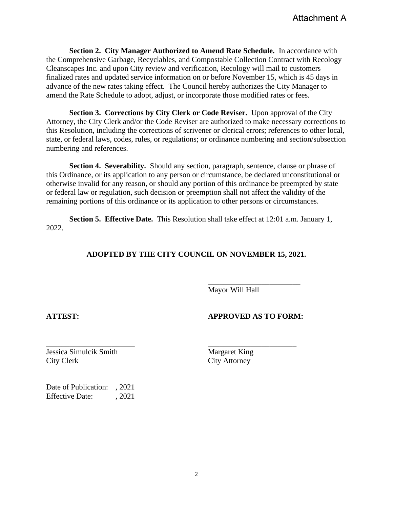**Section 2. City Manager Authorized to Amend Rate Schedule.** In accordance with the Comprehensive Garbage, Recyclables, and Compostable Collection Contract with Recology Cleanscapes Inc. and upon City review and verification, Recology will mail to customers finalized rates and updated service information on or before November 15, which is 45 days in advance of the new rates taking effect. The Council hereby authorizes the City Manager to amend the Rate Schedule to adopt, adjust, or incorporate those modified rates or fees.

**Section 3. Corrections by City Clerk or Code Reviser.** Upon approval of the City Attorney, the City Clerk and/or the Code Reviser are authorized to make necessary corrections to this Resolution, including the corrections of scrivener or clerical errors; references to other local, state, or federal laws, codes, rules, or regulations; or ordinance numbering and section/subsection numbering and references.

**Section 4. Severability.** Should any section, paragraph, sentence, clause or phrase of this Ordinance, or its application to any person or circumstance, be declared unconstitutional or otherwise invalid for any reason, or should any portion of this ordinance be preempted by state or federal law or regulation, such decision or preemption shall not affect the validity of the remaining portions of this ordinance or its application to other persons or circumstances.

**Section 5. Effective Date.** This Resolution shall take effect at 12:01 a.m. January 1, 2022.

\_\_\_\_\_\_\_\_\_\_\_\_\_\_\_\_\_\_\_\_\_\_\_ \_\_\_\_\_\_\_\_\_\_\_\_\_\_\_\_\_\_\_\_\_\_\_

## **ADOPTED BY THE CITY COUNCIL ON NOVEMBER 15, 2021.**

Mayor Will Hall

## **ATTEST: APPROVED AS TO FORM:**

\_\_\_\_\_\_\_\_\_\_\_\_\_\_\_\_\_\_\_\_\_\_\_\_

**Jessica Simulcik Smith Margaret King** City Clerk City Attorney

Date of Publication: , 2021 Effective Date: , 2021